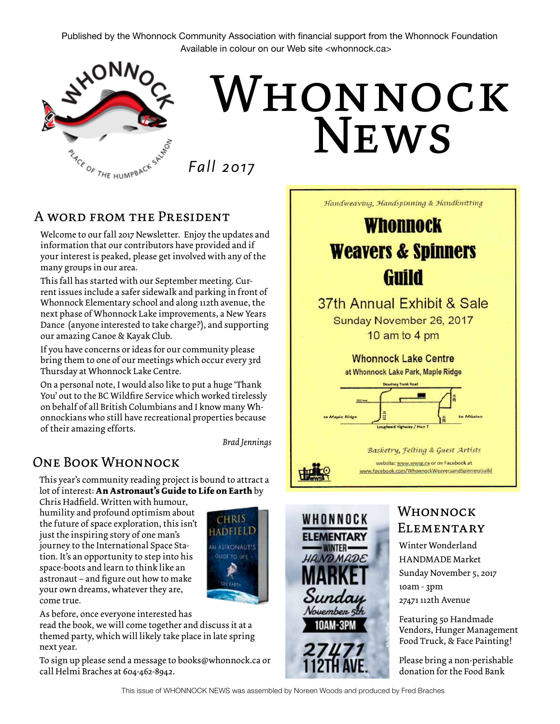Published by the Whonnock Community Association with financial support from the Whonnock Foundation Available in colour on our Web site <whonnock.ca>



# WHONNOCK News

*Fall 2017*

### A word from the President

Welcome to our fall 2017 Newsletter. Enjoy the updates and information that our contributors have provided and if your interest is peaked, please get involved with any of the many groups in our area.

This fall has started with our September meeting. Cur rent issues include a safer sidewalk and parking in front of Whonnock Elementary school and along 112th avenue, the next phase of Whonnock Lake improvements, a New Years Dance (anyone interested to take charge?), and supporting our amazing Canoe & Kayak Club.

If you have concerns or ideas for our community please bring them to one of our meetings which occur every 3rd Thursday at Whonnock Lake Centre.

On a personal note, I would also like to put a huge 'Thank You' out to the BC Wildfire Service which worked tirelessly on behalf of all British Columbians and I know many Wh onnockians who still have recreational properties because of their amazing efforts.

*Brad Jennings*

## One Book Whonnock

This year's community reading project is bound to attract a lot of interest: **An Astronaut's Guide to Life on Earth** by

Chris Hadfield. Written with humour, humility and profound optimism about the future of space exploration, this isn't just the inspiring story of one man's journey to the International Space Sta tion. It's an opportunity to step into his space-boots and learn to think like an astronaut – and figure out how to make your own dreams, whatever they are, come true.



As before, once everyone interested has

read the book, we will come together and discuss it at a themed party, which will likely take place in late spring next year.

To sign up please send a message to books@whonnock.ca or call Helmi Braches at 604-462-8942.



This issue of WHONNOCK NEWS was assembled by Noreen Woods and produced by Fred Braches

Guild 37th Annual Exhibit & Sale Sunday November 26, 2017 10 am to 4 pm **Whonnock Lake Centre** at Whonnock Lake Park, Maple Ridge Basketry, Felting & Guest Artists

Handweaving, Handspinning & Handknitting

Whonnock

**Weavers & Spinners** 



WHONNOCK

**ELEMENTARY** 

**WINTER-**

HANDMADE

Sunday November 5 INAM-3PM

# **ELEMENTARY** Winter Wonderland

Whonnock

website: www.wwsg.ca or on Facebook at

HANDMADE Market Sunday November 5, 2017 10am - 3pm 27471 112th Avenue

Featuring 50 Handmade Vendors, Hunger Management Food Truck, & Face Painting!

Please bring a non-perishable donation for the Food Bank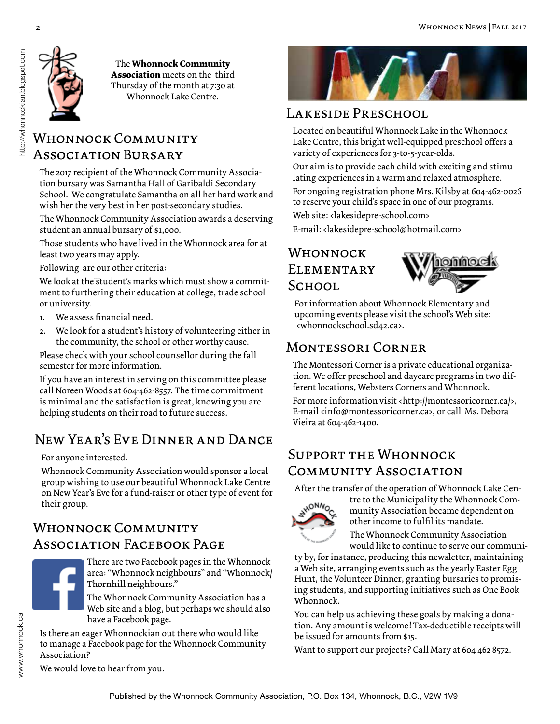

#### The **Whonnock Community Association** meets on the third Thursday of the month at 7:30 at Whonnock Lake Centre.

## WHONNOCK COMMUNITY Association Bursary

The 2017 recipient of the Whonnock Community Association bursary was Samantha Hall of Garibaldi Secondary School. We congratulate Samantha on all her hard work and wish her the very best in her post-secondary studies.

The Whonnock Community Association awards a deserving student an annual bursary of \$1,000.

Those students who have lived in the Whonnock area for at least two years may apply.

Following are our other criteria:

We look at the student's marks which must show a commitment to furthering their education at college, trade school or university.

- 1. We assess financial need.
- 2. We look for a student's history of volunteering either in the community, the school or other worthy cause.

Please check with your school counsellor during the fall semester for more information.

If you have an interest in serving on this committee please call Noreen Woods at 604-462-8557. The time commitment is minimal and the satisfaction is great, knowing you are helping students on their road to future success.

## New Year's Eve Dinner and Dance

For anyone interested.

Whonnock Community Association would sponsor a local group wishing to use our beautiful Whonnock Lake Centre on New Year's Eve for a fund-raiser or other type of event for their group.

## WHONNOCK COMMUNITY ASSOCIATION FACEBOOK PAGE

There are two Facebook pages in the Whonnock area: "Whonnock neighbours" and "Whonnock/ Thornhill neighbours."

The Whonnock Community Association has a Web site and a blog, but perhaps we should also have a Facebook page.

Is there an eager Whonnockian out there who would like to manage a Facebook page for the Whonnock Community Association?



## Lakeside Preschool

Located on beautiful Whonnock Lake in the Whonnock Lake Centre, this bright well-equipped preschool offers a variety of experiences for 3-to-5-year-olds.

Our aim is to provide each child with exciting and stimulating experiences in a warm and relaxed atmosphere.

For ongoing registration phone Mrs. Kilsby at 604-462-0026 to reserve your child's space in one of our programs.

Web site: <lakesidepre-school.com>

E-mail: <lakesidepre-school@hotmail.com>

## Whonnock **ELEMENTARY** School



For information about Whonnock Elementary and upcoming events please visit the school's Web site: <whonnockschool.sd42.ca>.

## Montessori Corner

The Montessori Corner is a private educational organization. We offer preschool and daycare programs in two different locations, Websters Corners and Whonnock.

For more information visit <http://montessoricorner.ca/>, E-mail <info@montessoricorner.ca>, or call Ms. Debora Vieira at 604-462-1400.

## Support the Whonnock Community Association

After the transfer of the operation of Whonnock Lake Cen-



tre to the Municipality the Whonnock Community Association became dependent on other income to fulfil its mandate.

The Whonnock Community Association would like to continue to serve our communi-

ty by, for instance, producing this newsletter, maintaining a Web site, arranging events such as the yearly Easter Egg Hunt, the Volunteer Dinner, granting bursaries to promising students, and supporting initiatives such as One Book Whonnock.

You can help us achieving these goals by making a donation. Any amount is welcome! Tax-deductible receipts will be issued for amounts from \$15.

Want to support our projects? Call Mary at 604 462 8572.

We would love to hear from you.

http://whonnockian.blogspot.com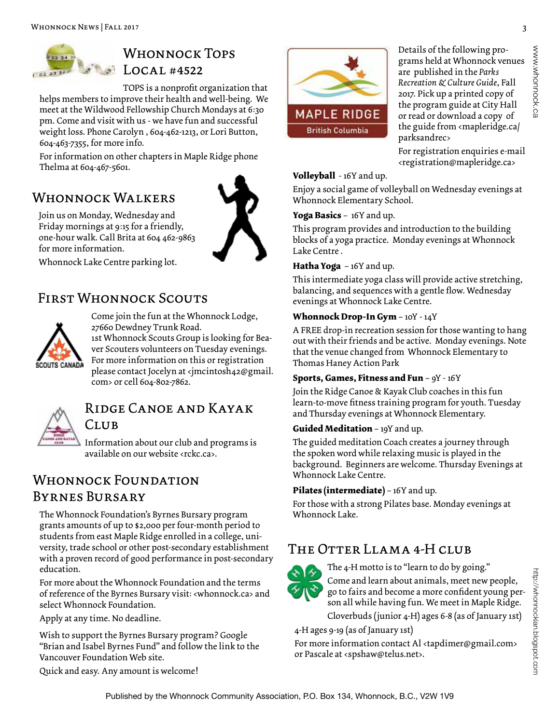

## WHONNOCK TOPS Local #4522

TOPS is a nonprofit organization that helps members to improve their health and well-being. We meet at the Wildwood Fellowship Church Mondays at 6:30 pm. Come and visit with us - we have fun and successful weight loss. Phone Carolyn , 604-462-1213, or Lori Button, 604-463-7355, for more info.

For information on other chapters in Maple Ridge phone Thelma at 604-467-5601.

## WHONNOCK WALKERS

for more information.

Join us on Monday, Wednesday and Friday mornings at 9:15 for a friendly, one-hour walk. Call Brita at 604 462-9863



Whonnock Lake Centre parking lot.

## First Whonnock Scouts



Come join the fun at the Whonnock Lodge, 27660 Dewdney Trunk Road.

1st Whonnock Scouts Group is looking for Beaver Scouters volunteers on Tuesday evenings. For more information on this or registration please contact Jocelyn at <jmcintosh42@gmail. com> or cell 604-802-7862.



## Ridge Canoe and Kayak Club

Information about our club and programs is available on our website <rckc.ca>.

## WHONNOCK FOUNDATION Byrnes Bursary

The Whonnock Foundation's Byrnes Bursary program grants amounts of up to \$2,000 per four-month period to students from east Maple Ridge enrolled in a college, university, trade school or other post-secondary establishment with a proven record of good performance in post-secondary education.

For more about the Whonnock Foundation and the terms of reference of the Byrnes Bursary visit: <whonnock.ca> and select Whonnock Foundation.

Apply at any time. No deadline.

Wish to support the Byrnes Bursary program? Google "Brian and Isabel Byrnes Fund" and follow the link to the Vancouver Foundation Web site.

Quick and easy. Any amount is welcome!



Details of the following programs held at Whonnock venues are published in the *Parks Recreation & Culture Guide*, Fall 2017. Pick up a printed copy of the program guide at City Hall or read or download a copy of the guide from <mapleridge.ca/ parksandrec>

For registration enquiries e-mail <registration@mapleridge.ca>

#### **Volleyball** - 16Y and up.

Enjoy a social game of volleyball on Wednesday evenings at Whonnock Elementary School.

**Yoga Basics** – 16Y and up.

This program provides and introduction to the building blocks of a yoga practice. Monday evenings at Whonnock Lake Centre .

#### **Hatha Yoga** – 16Y and up.

This intermediate yoga class will provide active stretching, balancing, and sequences with a gentle flow. Wednesday evenings at Whonnock Lake Centre.

#### **Whonnock Drop-In Gym** – 10Y - 14Y

A FREE drop-in recreation session for those wanting to hang out with their friends and be active. Monday evenings. Note that the venue changed from Whonnock Elementary to Thomas Haney Action Park

#### **Sports, Games, Fitness and Fun** – 9Y - 16Y

Join the Ridge Canoe & Kayak Club coaches in this fun learn-to-move fitness training program for youth. Tuesday and Thursday evenings at Whonnock Elementary.

#### **Guided Meditation** – 19Y and up.

The guided meditation Coach creates a journey through the spoken word while relaxing music is played in the background. Beginners are welcome. Thursday Evenings at Whonnock Lake Centre.

#### **Pilates (intermediate)** – 16Y and up.

For those with a strong Pilates base. Monday evenings at Whonnock Lake.

## The Otter Llama 4-H club



The 4-H motto is to "learn to do by going." Come and learn about animals, meet new people, go to fairs and become a more confident young person all while having fun. We meet in Maple Ridge.

Cloverbuds (junior 4-H) ages 6-8 (as of January 1st)

4-H ages 9-19 (as of January 1st)

For more information contact Al <tapdimer@gmail.com> or Pascale at <spshaw@telus.net>.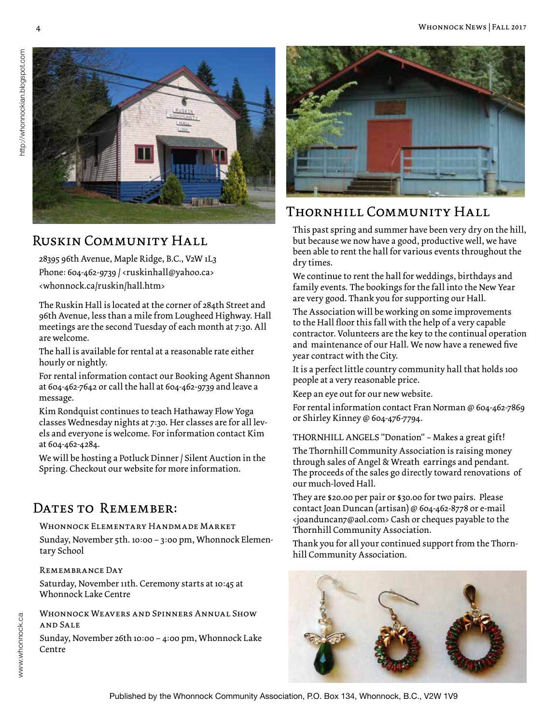

## Ruskin Community Hall

28395 96th Avenue, Maple Ridge, B.C., V2W 1L3 Phone: 604-462-9739 / <ruskinhall@yahoo.ca> <whonnock.ca/ruskin/hall.htm>

The Ruskin Hall is located at the corner of 284th Street and 96th Avenue, less than a mile from Lougheed Highway. Hall meetings are the second Tuesday of each month at 7:30. All are welcome.

The hall is available for rental at a reasonable rate either hourly or nightly.

For rental information contact our Booking Agent Shannon at 604-462-7642 or call the hall at 604-462-9739 and leave a message.

Kim Rondquist continues to teach Hathaway Flow Yoga classes Wednesday nights at 7:30. Her classes are for all levels and everyone is welcome. For information contact Kim at 604-462-4284.

We will be hosting a Potluck Dinner / Silent Auction in the Spring. Checkout our website for more information.

## DATES TO REMEMBER:

#### Whonnock Elementary Handmade Market

Sunday, November 5th. 10:00 – 3:00 pm, Whonnock Elementary School

#### Remembrance Day

Saturday, November 11th. Ceremony starts at 10:45 at Whonnock Lake Centre

WHONNOCK WEAVERS AND SPINNERS ANNUAL SHOW and Sale

Sunday, November 26th 10:00 – 4:00 pm, Whonnock Lake Centre



## Thornhill Community Hall

This past spring and summer have been very dry on the hill, but because we now have a good, productive well, we have been able to rent the hall for various events throughout the dry times.

We continue to rent the hall for weddings, birthdays and family events. The bookings for the fall into the New Year are very good. Thank you for supporting our Hall.

The Association will be working on some improvements to the Hall floor this fall with the help of a very capable contractor. Volunteers are the key to the continual operation and maintenance of our Hall. We now have a renewed five year contract with the City.

It is a perfect little country community hall that holds 100 people at a very reasonable price.

Keep an eye out for our new website.

For rental information contact Fran Norman @ 604-462-7869 or Shirley Kinney @ 604-476-7794.

THORNHILL ANGELS "Donation" – Makes a great gift!

The Thornhill Community Association is raising money through sales of Angel & Wreath earrings and pendant. The proceeds of the sales go directly toward renovations of our much-loved Hall.

They are \$20.00 per pair or \$30.00 for two pairs. Please contact Joan Duncan (artisan) @ 604-462-8778 or e-mail <joanduncan7@aol.com> Cash or cheques payable to the Thornhill Community Association.

Thank you for all your continued support from the Thornhill Community Association.

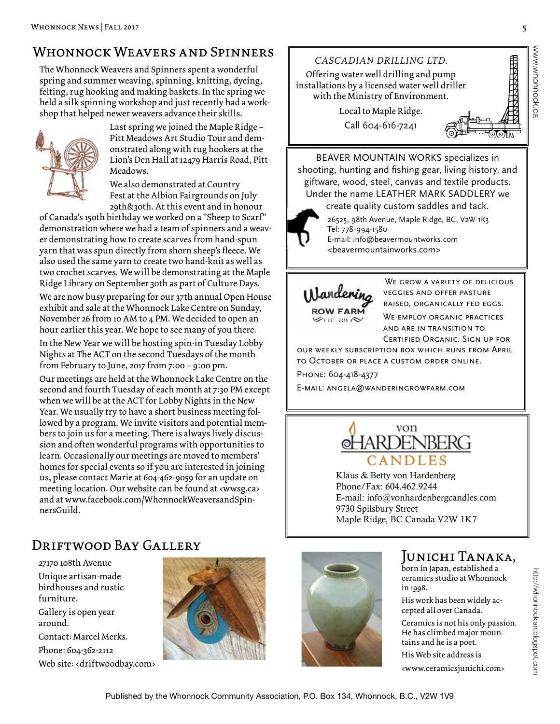## WHONNOCK WEAVERS AND SPINNERS

The Whonnock Weavers and Spinners spent a wonderful spring and summer weaving, spinning, knitting, dyeing, felting, rug hooking and making baskets. In the spring we held a silk spinning workshop and just recently had a workshop that helped newer weavers advance their skills.



Last spring we joined the Maple Ridge – Pitt Meadows Art Studio Tour and demonstrated along with rug hookers at the Lion's Den Hall at 12479 Harris Road, Pitt Meadows.

We also demonstrated at Country Fest at the Albion Fairgrounds on July 29th&30th. At this event and in honour

of Canada's 150th birthday we worked on a "Sheep to Scarf" demonstration where we had a team of spinners and a weaver demonstrating how to create scarves from hand-spun yarn that was spun directly from shorn sheep's fleece. We also used the same yarn to create two hand-knit as well as two crochet scarves. We will be demonstrating at the Maple Ridge Library on September 30th as part of Culture Days.

We are now busy preparing for our 37th annual Open House exhibit and sale at the Whonnock Lake Centre on Sunday, November 26 from 10 AM to 4 PM. We decided to open an hour earlier this year. We hope to see many of you there.

In the New Year we will be hosting spin-in Tuesday Lobby Nights at The ACT on the second Tuesdays of the month from February to June, 2017 from 7:00 – 9:00 pm.

Our meetings are held at the Whonnock Lake Centre on the second and fourth Tuesday of each month at 7:30 PM except when we will be at the ACT for Lobby Nights in the New Year. We usually try to have a short business meeting followed by a program. We invite visitors and potential members to join us for a meeting. There is always lively discussion and often wonderful programs with opportunities to learn. Occasionally our meetings are moved to members' homes for special events so if you are interested in joining us, please contact Marie at 604-462-9059 for an update on meeting location. Our website can be found at <wwsg.ca> and at www.facebook.com/WhonnockWeaversandSpinnersGuild.

## Driftwood Bay Gallery

27170 108th Avenue Unique artisan-made birdhouses and rustic furniture. Gallery is open year around. Contact: Marcel Merks. Phone: 604-362-2112 Web site: <driftwoodbay.com>





BEAVER MOUNTAIN WORKS specializes in shooting, hunting and fishing gear, living history, and giftware, wood, steel, canvas and textile products. Under the name LEATHER MARK SADDLERY we

create quality custom saddles and tack.

26525, 98th Avenue, Maple Ridge, BC, V2W 1K3 Tel: 778-994-1580 E-mail: info@beavermountworks.com <beavermountainworks.com>



WE GROW A VARIETY OF DELICIOUS veggies and offer pasture raised, organically fed eggs. WE EMPLOY ORGANIC PRACTICES and are in transition to Certified Organic. Sign up for

our weekly subscription box which runs from April to October or place a custom order online. Phone: 604-418-4377

E-mail: angela@wanderingrowfarm.com



Klaus & Betty von Hardenberg Phone/Fax: 604.462.9244 E-mail: info@vonhardenbergcandles.com 9730 Spilsbury Street Maple Ridge, BC Canada V2W 1K7



## Junichi Tanaka,

born in Japan, established a ceramics studio at Whonnock in 1998.

His work has been widely accepted all over Canada.

Ceramics is not his only passion. He has climbed major mountains and he is a poet. His Web site address is

<www.ceramicsjunichi.com>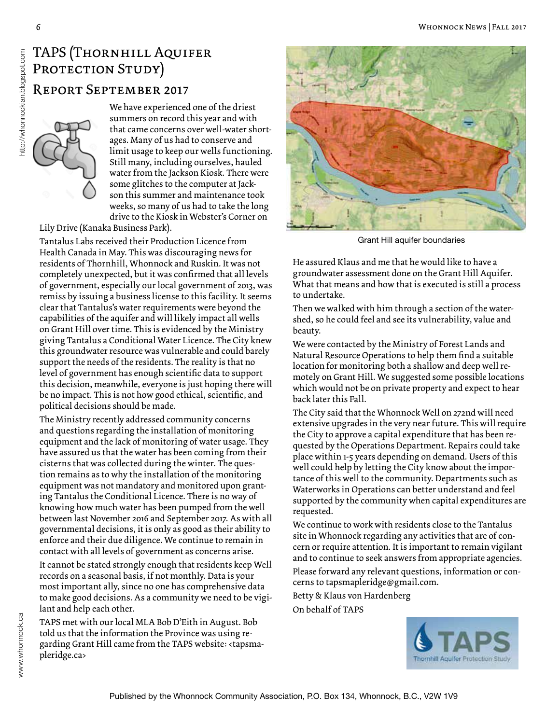# TAPS (Thornhill Aquifer PROTECTION STUDY)

#### Report September 2017

We have experienced one of the driest summers on record this year and with that came concerns over well-water shortages. Many of us had to conserve and limit usage to keep our wells functioning. Still many, including ourselves, hauled water from the Jackson Kiosk. There were some glitches to the computer at Jackson this summer and maintenance took weeks, so many of us had to take the long drive to the Kiosk in Webster's Corner on

Lily Drive (Kanaka Business Park).

Tantalus Labs received their Production Licence from Health Canada in May. This was discouraging news for residents of Thornhill, Whonnock and Ruskin. It was not completely unexpected, but it was confirmed that all levels of government, especially our local government of 2013, was remiss by issuing a business license to this facility. It seems clear that Tantalus's water requirements were beyond the capabilities of the aquifer and will likely impact all wells on Grant Hill over time. This is evidenced by the Ministry giving Tantalus a Conditional Water Licence. The City knew this groundwater resource was vulnerable and could barely support the needs of the residents. The reality is that no level of government has enough scientific data to support this decision, meanwhile, everyone is just hoping there will be no impact. This is not how good ethical, scientific, and political decisions should be made.

The Ministry recently addressed community concerns and questions regarding the installation of monitoring equipment and the lack of monitoring of water usage. They have assured us that the water has been coming from their cisterns that was collected during the winter. The question remains as to why the installation of the monitoring equipment was not mandatory and monitored upon granting Tantalus the Conditional Licence. There is no way of knowing how much water has been pumped from the well between last November 2016 and September 2017. As with all governmental decisions, it is only as good as their ability to enforce and their due diligence. We continue to remain in contact with all levels of government as concerns arise.

It cannot be stated strongly enough that residents keep Well records on a seasonal basis, if not monthly. Data is your most important ally, since no one has comprehensive data to make good decisions. As a community we need to be vigilant and help each other.

TAPS met with our local MLA Bob D'Eith in August. Bob told us that the information the Province was using regarding Grant Hill came from the TAPS website: <tapsmapleridge.ca>



Grant Hill aquifer boundaries

He assured Klaus and me that he would like to have a groundwater assessment done on the Grant Hill Aquifer. What that means and how that is executed is still a process to undertake.

Then we walked with him through a section of the watershed, so he could feel and see its vulnerability, value and beauty.

We were contacted by the Ministry of Forest Lands and Natural Resource Operations to help them find a suitable location for monitoring both a shallow and deep well remotely on Grant Hill. We suggested some possible locations which would not be on private property and expect to hear back later this Fall.

The City said that the Whonnock Well on 272nd will need extensive upgrades in the very near future. This will require the City to approve a capital expenditure that has been requested by the Operations Department. Repairs could take place within 1-5 years depending on demand. Users of this well could help by letting the City know about the importance of this well to the community. Departments such as Waterworks in Operations can better understand and feel supported by the community when capital expenditures are requested.

We continue to work with residents close to the Tantalus site in Whonnock regarding any activities that are of concern or require attention. It is important to remain vigilant and to continue to seek answers from appropriate agencies.

Please forward any relevant questions, information or concerns to tapsmapleridge@gmail.com.

Betty & Klaus von Hardenberg On behalf of TAPS



http://whonnockian.blogspot.com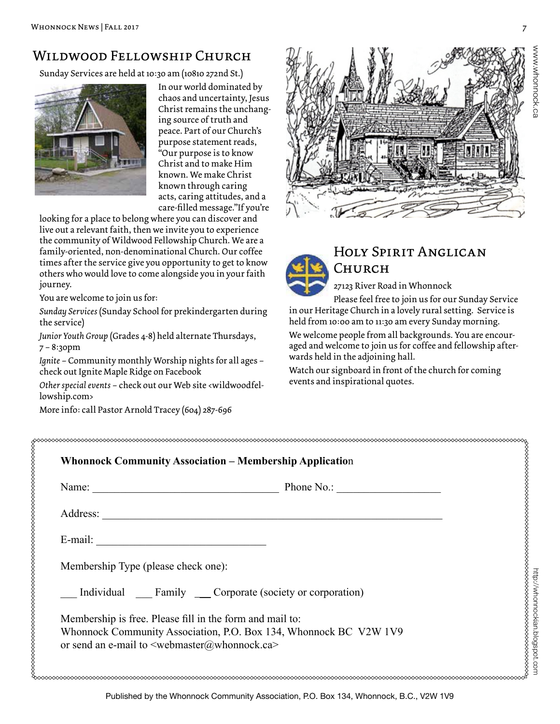## Wildwood Fellowship Church

Sunday Services are held at 10:30 am (10810 272nd St.)



In our world dominated by chaos and uncertainty, Jesus Christ remains the unchanging source of truth and peace. Part of our Church's purpose statement reads, "Our purpose is to know Christ and to make Him known. We make Christ known through caring acts, caring attitudes, and a care-filled message."If you're

looking for a place to belong where you can discover and live out a relevant faith, then we invite you to experience the community of Wildwood Fellowship Church. We are a family-oriented, non-denominational Church. Our coffee times after the service give you opportunity to get to know others who would love to come alongside you in your faith journey.

You are welcome to join us for:

*Sunday Services* (Sunday School for prekindergarten during the service)

*Junior Youth Group* (Grades 4-8) held alternate Thursdays, 7 – 8:30pm

*Ignite* – Community monthly Worship nights for all ages – check out Ignite Maple Ridge on Facebook

*Other special events* – check out our Web site <wildwoodfellowship.com>

More info: call Pastor Arnold Tracey (604) 287-696





## Holy Spirit Anglican Church

27123 River Road in Whonnock

Please feel free to join us for our Sunday Service in our Heritage Church in a lovely rural setting. Service is held from 10:00 am to 11:30 am every Sunday morning.

We welcome people from all backgrounds. You are encouraged and welcome to join us for coffee and fellowship afterwards held in the adjoining hall.

Watch our signboard in front of the church for coming events and inspirational quotes.

| Name:                                                    | Phone No.:                                           |  |
|----------------------------------------------------------|------------------------------------------------------|--|
| Address:                                                 |                                                      |  |
| E-mail:                                                  |                                                      |  |
| Membership Type (please check one):                      |                                                      |  |
|                                                          | Individual Family Corporate (society or corporation) |  |
| Membership is free. Please fill in the form and mail to: |                                                      |  |

www.whonnock.ca

www.wyhonnock.ca